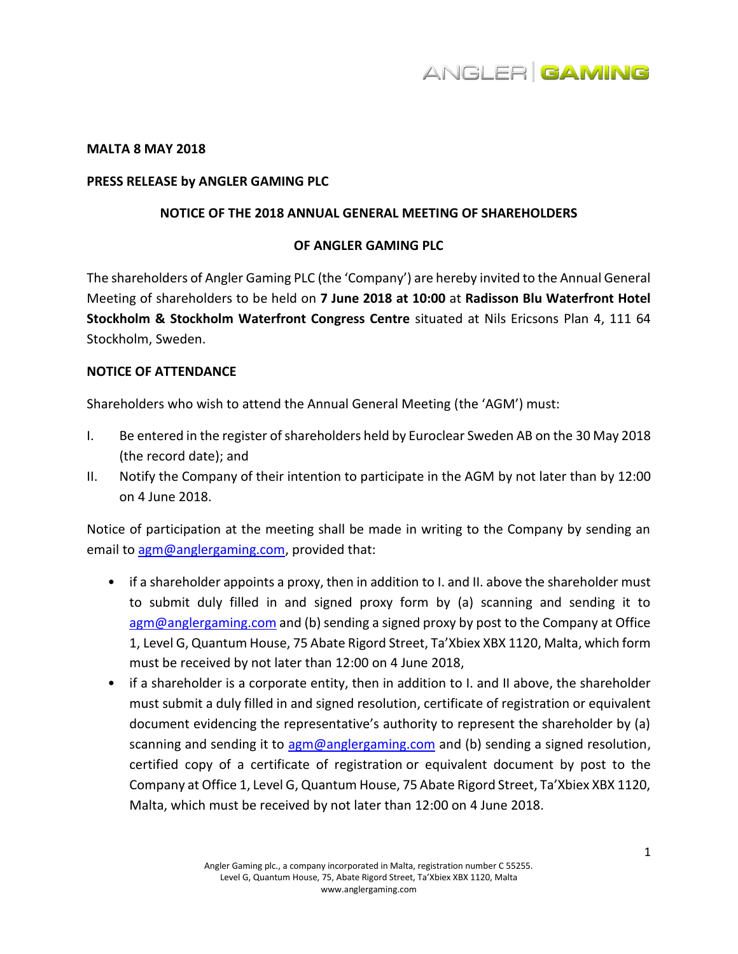

### **MALTA 8 MAY 2018**

### **PRESS RELEASE by ANGLER GAMING PLC**

### **NOTICE OF THE 2018 ANNUAL GENERAL MEETING OF SHAREHOLDERS**

# **OF ANGLER GAMING PLC**

The shareholders of Angler Gaming PLC (the 'Company') are hereby invited to the Annual General Meeting of shareholders to be held on **7 June 2018 at 10:00** at **Radisson Blu Waterfront Hotel Stockholm & Stockholm Waterfront Congress Centre** situated at Nils Ericsons Plan 4, 111 64 Stockholm, Sweden.

# **NOTICE OF ATTENDANCE**

Shareholders who wish to attend the Annual General Meeting (the 'AGM') must:

- I. Be entered in the register of shareholders held by Euroclear Sweden AB on the 30 May 2018 (the record date); and
- II. Notify the Company of their intention to participate in the AGM by not later than by 12:00 on 4 June 2018.

Notice of participation at the meeting shall be made in writing to the Company by sending an email to [agm@anglergaming.com,](mailto:agm@anglergaming.com) provided that:

- if a shareholder appoints a proxy, then in addition to I. and II. above the shareholder must to submit duly filled in and signed proxy form by (a) scanning and sending it to [agm@anglergaming.com](mailto:agm@anglergaming.com) and (b) sending a signed proxy by post to the Company at Office 1, Level G, Quantum House, 75 Abate Rigord Street, Ta'Xbiex XBX 1120, Malta, which form must be received by not later than 12:00 on 4 June 2018,
- if a shareholder is a corporate entity, then in addition to I. and II above, the shareholder must submit a duly filled in and signed resolution, certificate of registration or equivalent document evidencing the representative's authority to represent the shareholder by (a) scanning and sending it to [agm@anglergaming.com](mailto:agm@anglergaming.com) and (b) sending a signed resolution, certified copy of a certificate of registration or equivalent document by post to the Company at Office 1, Level G, Quantum House, 75 Abate Rigord Street, Ta'Xbiex XBX 1120, Malta, which must be received by not later than 12:00 on 4 June 2018.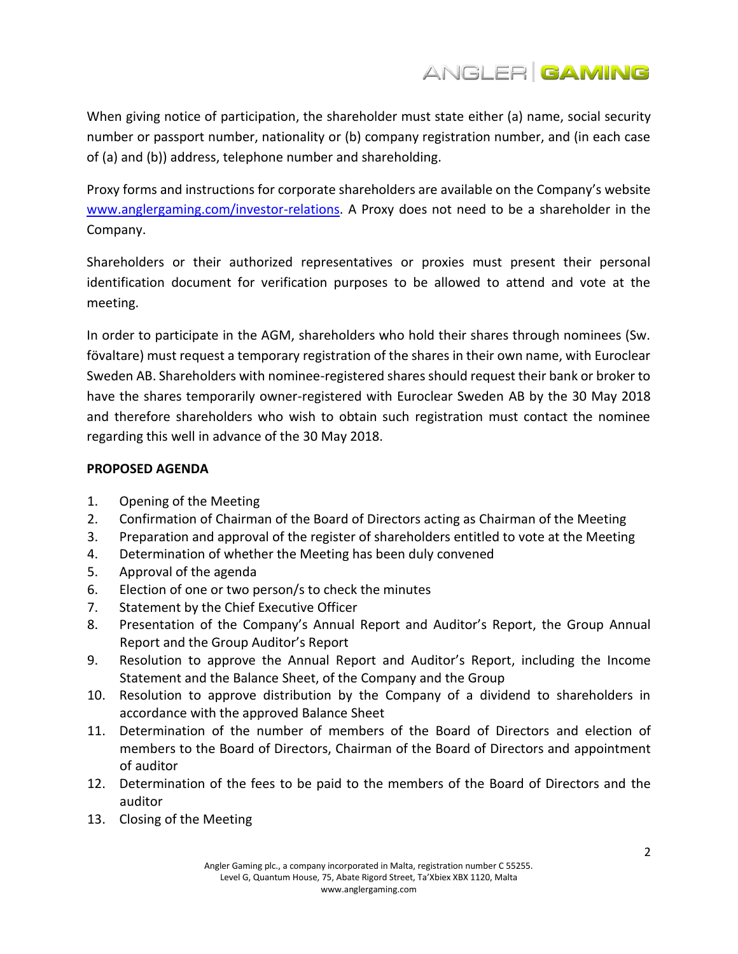

When giving notice of participation, the shareholder must state either (a) name, social security number or passport number, nationality or (b) company registration number, and (in each case of (a) and (b)) address, telephone number and shareholding.

Proxy forms and instructions for corporate shareholders are available on the Company's website [www.anglergaming.com/investor-relations.](http://www.anglergaming.com/investor-relations) A Proxy does not need to be a shareholder in the Company.

Shareholders or their authorized representatives or proxies must present their personal identification document for verification purposes to be allowed to attend and vote at the meeting.

In order to participate in the AGM, shareholders who hold their shares through nominees (Sw. fövaltare) must request a temporary registration of the shares in their own name, with Euroclear Sweden AB. Shareholders with nominee-registered shares should request their bank or broker to have the shares temporarily owner-registered with Euroclear Sweden AB by the 30 May 2018 and therefore shareholders who wish to obtain such registration must contact the nominee regarding this well in advance of the 30 May 2018.

# **PROPOSED AGENDA**

- 1. Opening of the Meeting
- 2. Confirmation of Chairman of the Board of Directors acting as Chairman of the Meeting
- 3. Preparation and approval of the register of shareholders entitled to vote at the Meeting
- 4. Determination of whether the Meeting has been duly convened
- 5. Approval of the agenda
- 6. Election of one or two person/s to check the minutes
- 7. Statement by the Chief Executive Officer
- 8. Presentation of the Company's Annual Report and Auditor's Report, the Group Annual Report and the Group Auditor's Report
- 9. Resolution to approve the Annual Report and Auditor's Report, including the Income Statement and the Balance Sheet, of the Company and the Group
- 10. Resolution to approve distribution by the Company of a dividend to shareholders in accordance with the approved Balance Sheet
- 11. Determination of the number of members of the Board of Directors and election of members to the Board of Directors, Chairman of the Board of Directors and appointment of auditor
- 12. Determination of the fees to be paid to the members of the Board of Directors and the auditor
- 13. Closing of the Meeting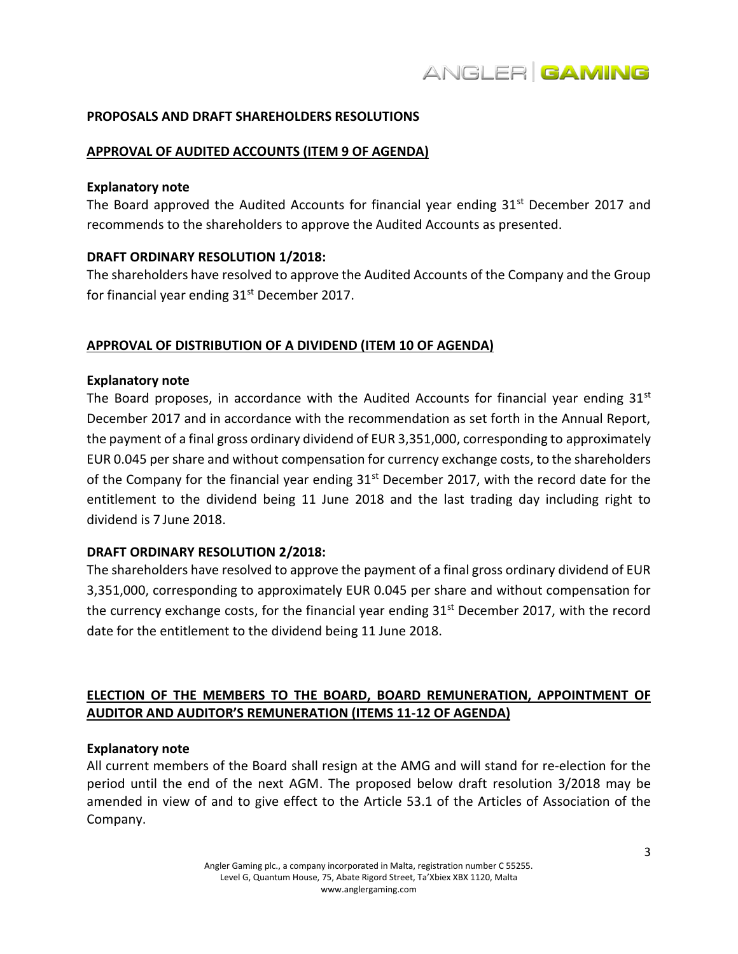# **PROPOSALS AND DRAFT SHAREHOLDERS RESOLUTIONS**

# **APPROVAL OF AUDITED ACCOUNTS (ITEM 9 OF AGENDA)**

#### **Explanatory note**

The Board approved the Audited Accounts for financial year ending  $31<sup>st</sup>$  December 2017 and recommends to the shareholders to approve the Audited Accounts as presented.

# **DRAFT ORDINARY RESOLUTION 1/2018:**

The shareholders have resolved to approve the Audited Accounts of the Company and the Group for financial year ending  $31<sup>st</sup>$  December 2017.

# **APPROVAL OF DISTRIBUTION OF A DIVIDEND (ITEM 10 OF AGENDA)**

### **Explanatory note**

The Board proposes, in accordance with the Audited Accounts for financial year ending  $31<sup>st</sup>$ December 2017 and in accordance with the recommendation as set forth in the Annual Report, the payment of a final gross ordinary dividend of EUR 3,351,000, corresponding to approximately EUR 0.045 per share and without compensation for currency exchange costs, to the shareholders of the Company for the financial year ending  $31^{st}$  December 2017, with the record date for the entitlement to the dividend being 11 June 2018 and the last trading day including right to dividend is 7 June 2018.

### **DRAFT ORDINARY RESOLUTION 2/2018:**

The shareholders have resolved to approve the payment of a final gross ordinary dividend of EUR 3,351,000, corresponding to approximately EUR 0.045 per share and without compensation for the currency exchange costs, for the financial year ending  $31<sup>st</sup>$  December 2017, with the record date for the entitlement to the dividend being 11 June 2018.

# **ELECTION OF THE MEMBERS TO THE BOARD, BOARD REMUNERATION, APPOINTMENT OF AUDITOR AND AUDITOR'S REMUNERATION (ITEMS 11-12 OF AGENDA)**

### **Explanatory note**

All current members of the Board shall resign at the AMG and will stand for re-election for the period until the end of the next AGM. The proposed below draft resolution 3/2018 may be amended in view of and to give effect to the Article 53.1 of the Articles of Association of the Company.